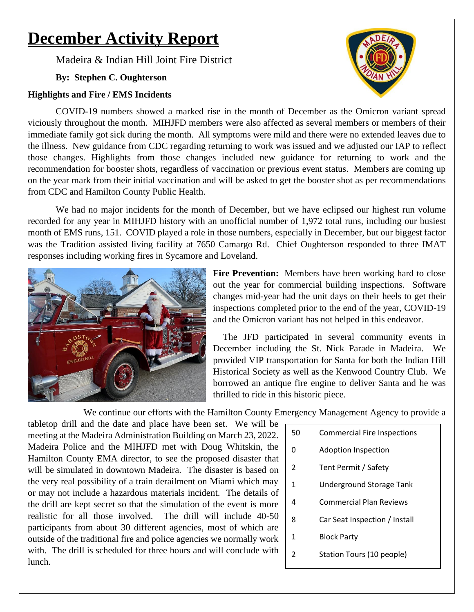# **December Activity Report**

Madeira & Indian Hill Joint Fire District

# **By: Stephen C. Oughterson**

## **Highlights and Fire / EMS Incidents**

COVID-19 numbers showed a marked rise in the month of December as the Omicron variant spread viciously throughout the month. MIHJFD members were also affected as several members or members of their immediate family got sick during the month. All symptoms were mild and there were no extended leaves due to the illness. New guidance from CDC regarding returning to work was issued and we adjusted our IAP to reflect those changes. Highlights from those changes included new guidance for returning to work and the recommendation for booster shots, regardless of vaccination or previous event status. Members are coming up on the year mark from their initial vaccination and will be asked to get the booster shot as per recommendations from CDC and Hamilton County Public Health.

We had no major incidents for the month of December, but we have eclipsed our highest run volume recorded for any year in MIHJFD history with an unofficial number of 1,972 total runs, including our busiest month of EMS runs, 151. COVID played a role in those numbers, especially in December, but our biggest factor was the Tradition assisted living facility at 7650 Camargo Rd. Chief Oughterson responded to three IMAT responses including working fires in Sycamore and Loveland.



**Fire Prevention:** Members have been working hard to close out the year for commercial building inspections. Software changes mid-year had the unit days on their heels to get their inspections completed prior to the end of the year, COVID-19 and the Omicron variant has not helped in this endeavor.

The JFD participated in several community events in December including the St. Nick Parade in Madeira. We provided VIP transportation for Santa for both the Indian Hill Historical Society as well as the Kenwood Country Club. We borrowed an antique fire engine to deliver Santa and he was thrilled to ride in this historic piece.

We continue our efforts with the Hamilton County Emergency Management Agency to provide a

tabletop drill and the date and place have been set. We will be meeting at the Madeira Administration Building on March 23, 2022. Madeira Police and the MIHJFD met with Doug Whitskin, the Hamilton County EMA director, to see the proposed disaster that will be simulated in downtown Madeira. The disaster is based on the very real possibility of a train derailment on Miami which may or may not include a hazardous materials incident. The details of the drill are kept secret so that the simulation of the event is more realistic for all those involved. The drill will include 40-50 participants from about 30 different agencies, most of which are outside of the traditional fire and police agencies we normally work with. The drill is scheduled for three hours and will conclude with lunch.

| 50             | <b>Commercial Fire Inspections</b> |
|----------------|------------------------------------|
| 0              | Adoption Inspection                |
| 2              | Tent Permit / Safety               |
| $\mathbf{1}$   | Underground Storage Tank           |
| 4              | Commercial Plan Reviews            |
| 8              | Car Seat Inspection / Install      |
| 1              | <b>Block Party</b>                 |
| $\mathfrak{p}$ | Station Tours (10 people)          |
|                |                                    |

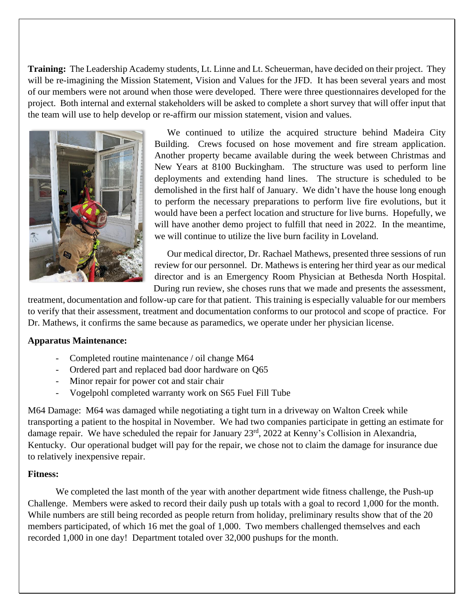**Training:** The Leadership Academy students, Lt. Linne and Lt. Scheuerman, have decided on their project. They will be re-imagining the Mission Statement, Vision and Values for the JFD. It has been several years and most of our members were not around when those were developed. There were three questionnaires developed for the project. Both internal and external stakeholders will be asked to complete a short survey that will offer input that the team will use to help develop or re-affirm our mission statement, vision and values.



We continued to utilize the acquired structure behind Madeira City Building. Crews focused on hose movement and fire stream application. Another property became available during the week between Christmas and New Years at 8100 Buckingham. The structure was used to perform line deployments and extending hand lines. The structure is scheduled to be demolished in the first half of January. We didn't have the house long enough to perform the necessary preparations to perform live fire evolutions, but it would have been a perfect location and structure for live burns. Hopefully, we will have another demo project to fulfill that need in 2022. In the meantime, we will continue to utilize the live burn facility in Loveland.

Our medical director, Dr. Rachael Mathews, presented three sessions of run review for our personnel. Dr. Mathews is entering her third year as our medical director and is an Emergency Room Physician at Bethesda North Hospital. During run review, she choses runs that we made and presents the assessment,

treatment, documentation and follow-up care for that patient. This training is especially valuable for our members to verify that their assessment, treatment and documentation conforms to our protocol and scope of practice. For Dr. Mathews, it confirms the same because as paramedics, we operate under her physician license.

#### **Apparatus Maintenance:**

- Completed routine maintenance / oil change M64
- Ordered part and replaced bad door hardware on Q65
- Minor repair for power cot and stair chair
- Vogelpohl completed warranty work on S65 Fuel Fill Tube

M64 Damage: M64 was damaged while negotiating a tight turn in a driveway on Walton Creek while transporting a patient to the hospital in November. We had two companies participate in getting an estimate for damage repair. We have scheduled the repair for January 23<sup>rd</sup>, 2022 at Kenny's Collision in Alexandria, Kentucky. Our operational budget will pay for the repair, we chose not to claim the damage for insurance due to relatively inexpensive repair.

#### **Fitness:**

We completed the last month of the year with another department wide fitness challenge, the Push-up Challenge. Members were asked to record their daily push up totals with a goal to record 1,000 for the month. While numbers are still being recorded as people return from holiday, preliminary results show that of the 20 members participated, of which 16 met the goal of 1,000. Two members challenged themselves and each recorded 1,000 in one day! Department totaled over 32,000 pushups for the month.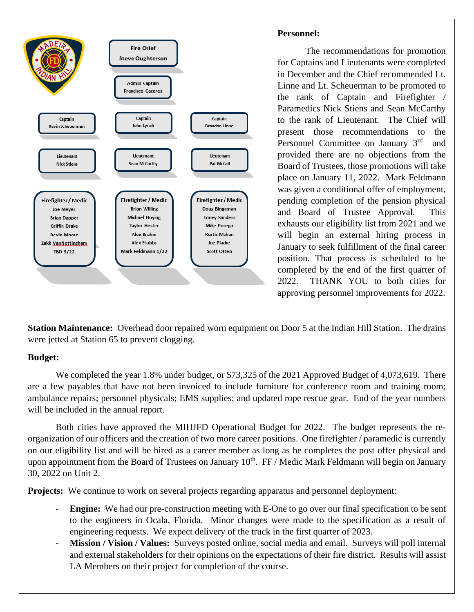

### **Personnel:**

The recommendations for promotion for Captains and Lieutenants were completed in December and the Chief recommended Lt. Linne and Lt. Scheuerman to be promoted to the rank of Captain and Firefighter / Paramedics Nick Stiens and Sean McCarthy to the rank of Lieutenant. The Chief will present those recommendations to the Personnel Committee on January 3rd and provided there are no objections from the Board of Trustees, those promotions will take place on January 11, 2022. Mark Feldmann was given a conditional offer of employment, pending completion of the pension physical and Board of Trustee Approval. This exhausts our eligibility list from 2021 and we will begin an external hiring process in January to seek fulfillment of the final career position. That process is scheduled to be completed by the end of the first quarter of 2022. THANK YOU to both cities for approving personnel improvements for 2022.

**Station Maintenance:** Overhead door repaired worn equipment on Door 5 at the Indian Hill Station. The drains were jetted at Station 65 to prevent clogging.

## **Budget:**

We completed the year 1.8% under budget, or \$73,325 of the 2021 Approved Budget of 4,073,619. There are a few payables that have not been invoiced to include furniture for conference room and training room; ambulance repairs; personnel physicals; EMS supplies; and updated rope rescue gear. End of the year numbers will be included in the annual report.

Both cities have approved the MIHJFD Operational Budget for 2022. The budget represents the reorganization of our officers and the creation of two more career positions. One firefighter / paramedic is currently on our eligibility list and will be hired as a career member as long as he completes the post offer physical and upon appointment from the Board of Trustees on January  $10<sup>th</sup>$ . FF / Medic Mark Feldmann will begin on January 30, 2022 on Unit 2.

**Projects:** We continue to work on several projects regarding apparatus and personnel deployment:

- **Engine:** We had our pre-construction meeting with E-One to go over our final specification to be sent to the engineers in Ocala, Florida. Minor changes were made to the specification as a result of engineering requests. We expect delivery of the truck in the first quarter of 2023.
- **Mission / Vision / Values:** Surveys posted online, social media and email. Surveys will poll internal and external stakeholders for their opinions on the expectations of their fire district. Results will assist LA Members on their project for completion of the course.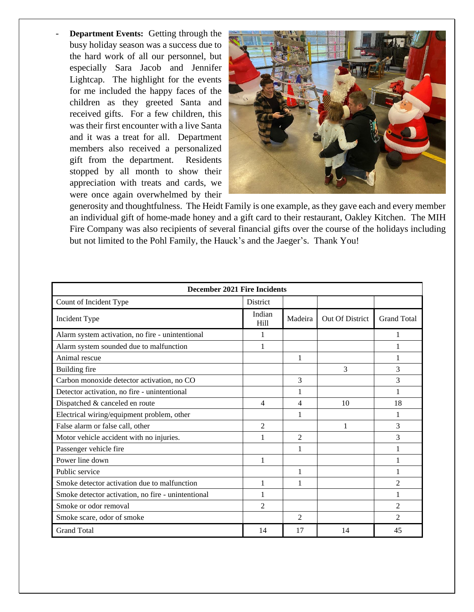**Department Events:** Getting through the busy holiday season was a success due to the hard work of all our personnel, but especially Sara Jacob and Jennifer Lightcap. The highlight for the events for me included the happy faces of the children as they greeted Santa and received gifts. For a few children, this was their first encounter with a live Santa and it was a treat for all. Department members also received a personalized gift from the department. Residents stopped by all month to show their appreciation with treats and cards, we were once again overwhelmed by their



generosity and thoughtfulness. The Heidt Family is one example, as they gave each and every member an individual gift of home-made honey and a gift card to their restaurant, Oakley Kitchen. The MIH Fire Company was also recipients of several financial gifts over the course of the holidays including but not limited to the Pohl Family, the Hauck's and the Jaeger's. Thank You!

| December 2021 Fire Incidents                       |                            |                |                 |                    |  |  |  |  |  |  |
|----------------------------------------------------|----------------------------|----------------|-----------------|--------------------|--|--|--|--|--|--|
| Count of Incident Type                             | <b>District</b>            |                |                 |                    |  |  |  |  |  |  |
| Incident Type                                      | Indian<br>H <sub>ill</sub> | Madeira        | Out Of District | <b>Grand Total</b> |  |  |  |  |  |  |
| Alarm system activation, no fire - unintentional   |                            |                |                 |                    |  |  |  |  |  |  |
| Alarm system sounded due to malfunction            | 1                          |                |                 |                    |  |  |  |  |  |  |
| Animal rescue                                      |                            | 1              |                 | 1                  |  |  |  |  |  |  |
| <b>Building fire</b>                               |                            |                | 3               | 3                  |  |  |  |  |  |  |
| Carbon monoxide detector activation, no CO         |                            | 3              |                 | 3                  |  |  |  |  |  |  |
| Detector activation, no fire - unintentional       |                            | 1              |                 | 1                  |  |  |  |  |  |  |
| Dispatched & canceled en route                     | 4                          | 4              | 10              | 18                 |  |  |  |  |  |  |
| Electrical wiring/equipment problem, other         |                            | 1              |                 |                    |  |  |  |  |  |  |
| False alarm or false call, other                   | $\overline{2}$             |                | 1               | 3                  |  |  |  |  |  |  |
| Motor vehicle accident with no injuries.           |                            | $\overline{2}$ |                 | 3                  |  |  |  |  |  |  |
| Passenger vehicle fire                             |                            | 1              |                 |                    |  |  |  |  |  |  |
| Power line down                                    | 1                          |                |                 | 1                  |  |  |  |  |  |  |
| Public service                                     |                            | 1              |                 |                    |  |  |  |  |  |  |
| Smoke detector activation due to malfunction       | 1                          | 1              |                 | $\overline{2}$     |  |  |  |  |  |  |
| Smoke detector activation, no fire - unintentional | 1                          |                |                 | 1                  |  |  |  |  |  |  |
| Smoke or odor removal                              | $\overline{c}$             |                |                 | $\mathfrak{D}$     |  |  |  |  |  |  |
| Smoke scare, odor of smoke                         |                            | $\overline{2}$ |                 | $\mathfrak{D}$     |  |  |  |  |  |  |
| <b>Grand Total</b>                                 | 14                         | 17             | 14              | 45                 |  |  |  |  |  |  |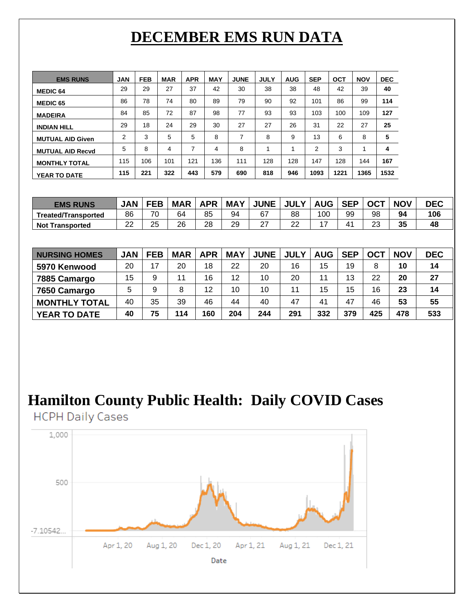# **DECEMBER EMS RUN DATA**

| <b>EMS RUNS</b>         | <b>JAN</b> | <b>FEB</b> | <b>MAR</b> | <b>APR</b> | <b>MAY</b> | <b>JUNE</b> | <b>JULY</b> | <b>AUG</b> | <b>SEP</b> | OCT  | <b>NOV</b> | <b>DEC</b> |
|-------------------------|------------|------------|------------|------------|------------|-------------|-------------|------------|------------|------|------------|------------|
| <b>MEDIC 64</b>         | 29         | 29         | 27         | 37         | 42         | 30          | 38          | 38         | 48         | 42   | 39         | 40         |
| <b>MEDIC 65</b>         | 86         | 78         | 74         | 80         | 89         | 79          | 90          | 92         | 101        | 86   | 99         | 114        |
| <b>MADEIRA</b>          | 84         | 85         | 72         | 87         | 98         | 77          | 93          | 93         | 103        | 100  | 109        | 127        |
| <b>INDIAN HILL</b>      | 29         | 18         | 24         | 29         | 30         | 27          | 27          | 26         | 31         | 22   | 27         | 25         |
| <b>MUTUAL AID Given</b> | 2          | 3          | 5          | 5          | 8          | ⇁           | 8           | 9          | 13         | 6    | 8          | 5          |
| <b>MUTUAL AID Recyd</b> | 5          | 8          | 4          | ⇁          | 4          | 8           |             |            | 2          | 3    | и          | 4          |
| <b>MONTHLY TOTAL</b>    | 115        | 106        | 101        | 121        | 136        | 111         | 128         | 128        | 147        | 128  | 144        | 167        |
| <b>YEAR TO DATE</b>     | 115        | 221        | 322        | 443        | 579        | 690         | 818         | 946        | 1093       | 1221 | 1365       | 1532       |

| <b>EMS RUNS</b>        | <b>JAN</b> | <b>FEB</b> | <b>MAR</b> | <b>APR</b> | <b>MAY</b> | <b>JUNE</b>    | <b>JUL</b><br>v | <b>AUG</b> | <b>SEP</b>   | <b>OCT</b> | <b>NOV</b> | <b>DEC</b> |
|------------------------|------------|------------|------------|------------|------------|----------------|-----------------|------------|--------------|------------|------------|------------|
| Treated/Transported    | 86         | 70         | 64         | 85         | 94         | 67             | 88              | 100        | 99           | 98         | 94         | 106        |
| <b>Not Transported</b> | າາ<br>ے    | 25         | 26         | 28         | 29         | ~-<br><u>.</u> | $\sim$<br>▃▵    | -          | $4^{\prime}$ | ົ<br>∠⊾    | 35         | 48         |

| <b>NURSING HOMES</b> | <b>JAN</b> | <b>FEB</b> | <b>MAR</b> | <b>APR</b> | <b>MAY</b> | <b>JUNE</b> | <b>JULY</b> | <b>AUG</b> | <b>SEP</b> | OCT | <b>NOV</b> | <b>DEC</b> |
|----------------------|------------|------------|------------|------------|------------|-------------|-------------|------------|------------|-----|------------|------------|
| 5970 Kenwood         | 20         | 17         | 20         | 18         | 22         | 20          | 16          | 15         | 19         | 8   | 10         | 14         |
| 7885 Camargo         | 15         | 9          | 11         | 16         | 12         | 10          | 20          | 11         | 13         | 22  | 20         | 27         |
| 7650 Camargo         | 5          | 9          | 8          | 12         | 10         | 10          | 11          | 15         | 15         | 16  | 23         | 14         |
| <b>MONTHLY TOTAL</b> | 40         | 35         | 39         | 46         | 44         | 40          | 47          | 41         | 47         | 46  | 53         | 55         |
| <b>YEAR TO DATE</b>  | 40         | 75         | 114        | 160        | 204        | 244         | 291         | 332        | 379        | 425 | 478        | 533        |

# **Hamilton County Public Health: Daily COVID Cases**

**HCPH Daily Cases**